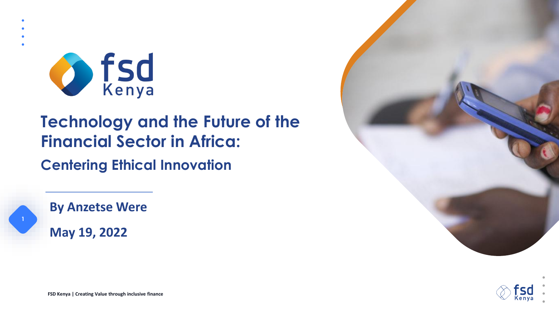

# **Technology and the Future of the Financial Sector in Africa:**

**Centering Ethical Innovation**

**By Anzetse Were May 19, 2022**

**1**





**FSD Kenya | Creating Value through inclusive finance**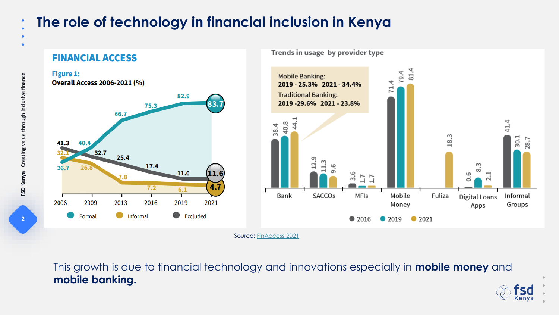# **The role of technology in financial inclusion in Kenya**



This growth is due to financial technology and innovations especially in **mobile money** and **mobile banking.**

FSD Kenya Creating value through inclusive finance **2FSD Kenya** Creating value through inclusive finance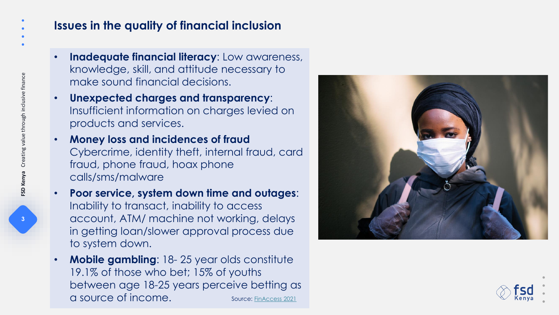### **Issues in the quality of financial inclusion**

- **Inadequate financial literacy**: Low awareness, knowledge, skill, and attitude necessary to make sound financial decisions.
- **Unexpected charges and transparency**: Insufficient information on charges levied on products and services.
- **Money loss and incidences of fraud** Cybercrime, identity theft, internal fraud, card fraud, phone fraud, hoax phone calls/sms/malware
- **Poor service, system down time and outages**: Inability to transact, inability to access account, ATM/ machine not working, delays in getting loan/slower approval process due to system down.
- **Mobile gambling**: 18- 25 year olds constitute 19.1% of those who bet; 15% of youths between age 18-25 years perceive betting as a source of income. Source: [FinAccess 2021](https://www.fsdkenya.org/blogs-publications/publications/finaccess-household-surveys/)



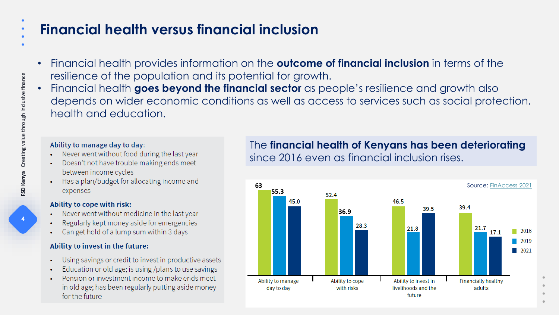# **Financial health versus financial inclusion**

- Financial health provides information on the **outcome of financial inclusion** in terms of the resilience of the population and its potential for growth.
- Financial health **goes beyond the financial sector** as people's resilience and growth also depends on wider economic conditions as well as access to services such as social protection, health and education.

#### Ability to manage day to day:

- Never went without food during the last year
- Doesn't not have trouble making ends meet between income cycles
- Has a plan/budget for allocating income and expenses

#### Ability to cope with risk:

- Never went without medicine in the last year
- Regularly kept money aside for emergencies
- Can get hold of a lump sum within 3 days

#### Ability to invest in the future:

- Using savings or credit to invest in productive assets
- Education or old age; is using /plans to use savings
- Pension or investment income to make ends meet in old age; has been regularly putting aside money for the future

### The **financial health of Kenyans has been deteriorating**  since 2016 even as financial inclusion rises.

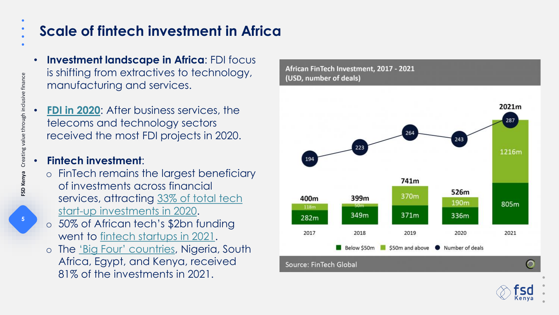# **Scale of fintech investment in Africa**

- **Investment landscape in Africa**: FDI focus is shifting from extractives to technology, manufacturing and services.
- **[FDI in 2020](https://assets.ey.com/content/dam/ey-sites/ey-com/en_za/topics/attractiveness/reports/ey-aar-reset-for-growth-final.pdf)**: After business services, the telecoms and technology sectors received the most FDI projects in 2020.

#### • **Fintech investment**:

- o FinTech remains the largest beneficiary of investments across financial [services, attracting 33% of total tech](https://assets.ey.com/content/dam/ey-sites/ey-com/en_za/topics/attractiveness/reports/ey-aar-reset-for-growth-final.pdf)  start-up investments in 2020.
- o 50% of African tech's \$2bn funding went to [fintech startups in 2021](https://member.fintech.global/2022/01/19/fintech-investment-in-africa-nearly-quadrupled-in-2021-driven-by-paytech-and-lending-deals/).
- o The ['Big Four' countries](https://www.weforum.org/agenda/2022/02/four-inspiring-things-emerging-in-the-african-tech-space/#:~:text=Africa), Nigeria, South Africa, Egypt, and Kenya, received 81% of the investments in 2021.

African FinTech Investment, 2017 - 2021 (USD, number of deals)

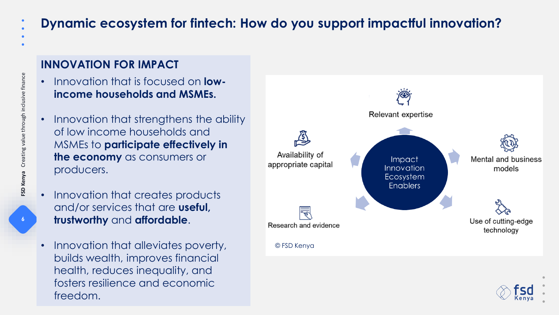## **Dynamic ecosystem for fintech: How do you support impactful innovation?**

### **INNOVATION FOR IMPACT**

- Innovation that is focused on **lowincome households and MSMEs.**
- Innovation that strengthens the ability of low income households and MSMEs to **participate effectively in the economy** as consumers or producers.
- Innovation that creates products and/or services that are **useful, trustworthy** and **affordable**.
- Innovation that alleviates poverty, builds wealth, improves financial health, reduces inequality, and fosters resilience and economic freedom.



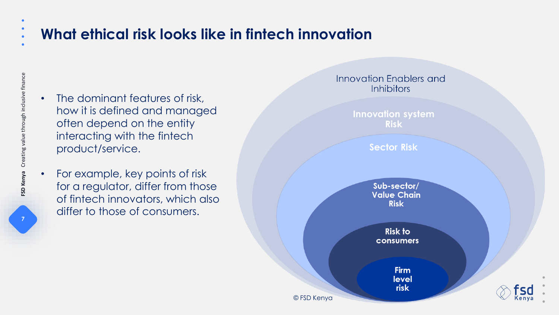# **What ethical risk looks like in fintech innovation**

- The dominant features of risk, how it is defined and managed often depend on the entity interacting with the fintech product/service.
- For example, key points of risk for a regulator, differ from those of fintech innovators, which also differ to those of consumers.



FSD Kenya Creating value through inclusive finance **7FSD Kenya** Creating value through inclusive finance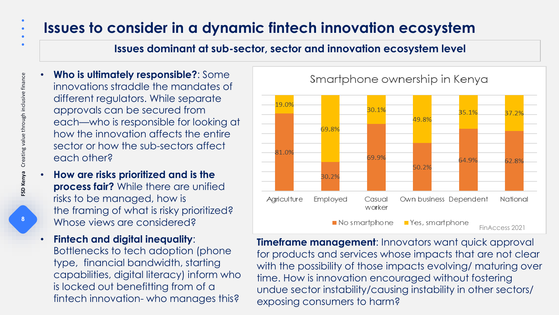# **Issues to consider in a dynamic fintech innovation ecosystem**

#### **Issues dominant at sub-sector, sector and innovation ecosystem level**

- **Who is ultimately responsible?**: Some innovations straddle the mandates of different regulators. While separate approvals can be secured from each—who is responsible for looking at how the innovation affects the entire sector or how the sub-sectors affect each other?
	- **How are risks prioritized and is the process fair?** While there are unified risks to be managed, how is the framing of what is risky prioritized? Whose views are considered?
- **Fintech and digital inequality**: Bottlenecks to tech adoption (phone type, financial bandwidth, starting capabilities, digital literacy) inform who is locked out benefitting from of a fintech innovation- who manages this?



Smartphone ownership in Kenya

**Timeframe management**: Innovators want quick approval for products and services whose impacts that are not clear with the possibility of those impacts evolving/ maturing over time. How is innovation encouraged without fostering undue sector instability/causing instability in other sectors/ exposing consumers to harm?

-8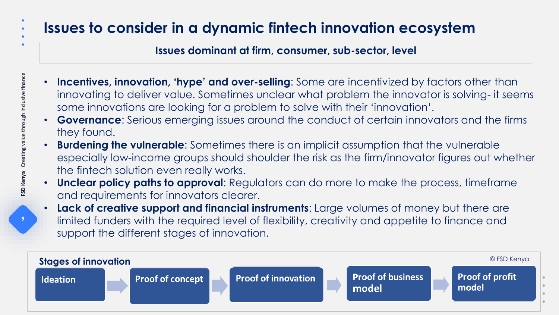# **Issues to consider in a dynamic fintech innovation ecosystem**

#### **Issues dominant at firm, consumer, sub-sector, level**

- **Incentives, innovation, 'hype' and over-selling**: Some are incentivized by factors other than innovating to deliver value. Sometimes unclear what problem the innovator is solving- it seems some innovations are looking for a problem to solve with their 'innovation'.
- **Governance**: Serious emerging issues around the conduct of certain innovators and the firms they found.
- **Burdening the vulnerable**: Sometimes there is an implicit assumption that the vulnerable especially low-income groups should shoulder the risk as the firm/innovator figures out whether the fintech solution even really works.
- **Unclear policy paths to approval**: Regulators can do more to make the process, timeframe and requirements for innovators clearer.
- **Lack of creative support and financial instruments**: Large volumes of money but there are limited funders with the required level of flexibility, creativity and appetite to finance and support the different stages of innovation.